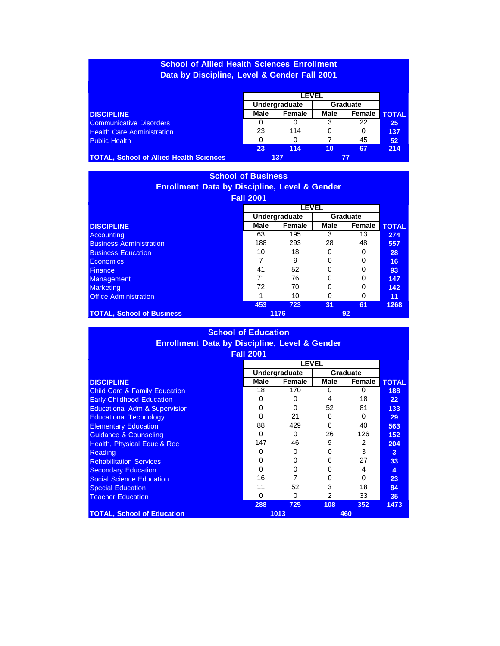## **School of Allied Health Sciences Enrollment Data by Discipline, Level & Gender Fall 2001**

|                                                | Undergraduate |        | Graduate |        |              |
|------------------------------------------------|---------------|--------|----------|--------|--------------|
| <b>DISCIPLINE</b>                              | Male          | Female | Male     | Female | <b>TOTAL</b> |
| <b>Communicative Disorders</b>                 | 0             |        | 3        | 22     | 25           |
| <b>Health Care Administration</b>              | 23            | 114    |          |        | 137          |
| <b>Public Health</b>                           | 0             |        |          | 45     | 52           |
|                                                | 23            | 114    | 10       | 67     | 214          |
| <b>TOTAL, School of Allied Health Sciences</b> |               | 137    |          |        |              |

## **School of Business Enrollment Data by Discipline, Level & Gender Fall 2001**

|                                  |      | <b>LEVEL</b>  |      |                 |              |  |
|----------------------------------|------|---------------|------|-----------------|--------------|--|
|                                  |      | Undergraduate |      | <b>Graduate</b> |              |  |
| <b>DISCIPLINE</b>                | Male | Female        | Male | Female          | <b>TOTAL</b> |  |
| Accounting                       | 63   | 195           | 3    | 13              | 274          |  |
| <b>Business Administration</b>   | 188  | 293           | 28   | 48              | 557          |  |
| <b>Business Education</b>        | 10   | 18            |      |                 | 28           |  |
| Economics                        | ⇁    | 9             |      |                 | 16           |  |
| <b>Finance</b>                   | 41   | 52            |      |                 | 93           |  |
| <b>Management</b>                | 71   | 76            |      |                 | 147          |  |
| <b>Marketing</b>                 | 72   | 70            |      |                 | 142          |  |
| <b>Office Administration</b>     | и    | 10            |      |                 | 11           |  |
|                                  | 453  | 723           | 31   | 61              | 1268         |  |
| <b>TOTAL, School of Business</b> |      | 1176          |      | 92              |              |  |

| <b>School of Education</b>                               |                  |               |      |                 |                 |  |  |
|----------------------------------------------------------|------------------|---------------|------|-----------------|-----------------|--|--|
| <b>Enrollment Data by Discipline, Level &amp; Gender</b> |                  |               |      |                 |                 |  |  |
|                                                          | <b>Fall 2001</b> |               |      |                 |                 |  |  |
|                                                          | <b>LEVEL</b>     |               |      |                 |                 |  |  |
|                                                          |                  | Undergraduate |      | <b>Graduate</b> |                 |  |  |
| <b>DISCIPLINE</b>                                        | <b>Male</b>      | Female        | Male | Female          | <b>TOTAL</b>    |  |  |
| <b>Child Care &amp; Family Education</b>                 | 18               | 170           | 0    | 0               | 188             |  |  |
| <b>Early Childhood Education</b>                         | 0                | $\Omega$      | 4    | 18              | 22 <sub>2</sub> |  |  |
| <b>Educational Adm &amp; Supervision</b>                 | 0                | 0             | 52   | 81              | 133             |  |  |
| <b>Educational Technology</b>                            | 8                | 21            | 0    | 0               | 29              |  |  |
| <b>Elementary Education</b>                              | 88               | 429           | 6    | 40              | 563             |  |  |
| <b>Guidance &amp; Counseling</b>                         | 0                | $\Omega$      | 26   | 126             | 152             |  |  |
| Health, Physical Educ & Rec                              | 147              | 46            | 9    | 2               | 204             |  |  |
| <b>Reading</b>                                           | 0                | 0             | O    | 3               | 3               |  |  |
| <b>Rehabilitation Services</b>                           | $\Omega$         | 0             | 6    | 27              | 33              |  |  |
| <b>Secondary Education</b>                               | $\Omega$         | 0             | 0    | 4               | 4               |  |  |
| <b>Social Science Education</b>                          | 16               | 7             | 0    | 0               | 23              |  |  |
| <b>Special Education</b>                                 | 11               | 52            | 3    | 18              | 84              |  |  |
| <b>Teacher Education</b>                                 | $\Omega$         | $\Omega$      | 2    | 33              | 35              |  |  |
|                                                          | 288              | 725           | 108  | 352             | 1473            |  |  |
| <b>TOTAL, School of Education</b>                        | 1013             |               | 460  |                 |                 |  |  |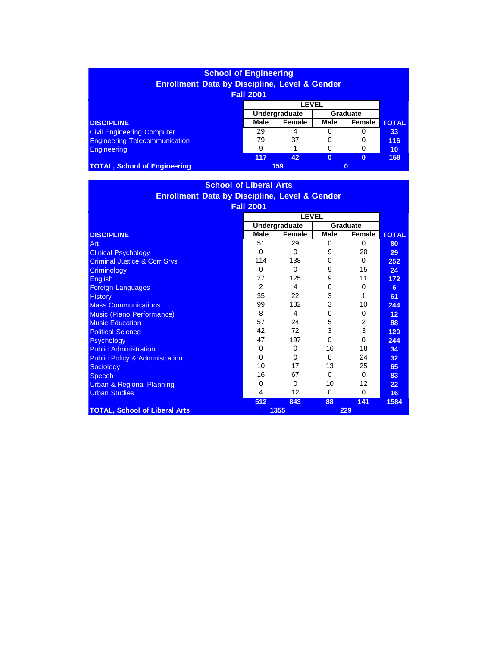| <b>School of Engineering</b>                             |                           |        |          |          |              |  |  |
|----------------------------------------------------------|---------------------------|--------|----------|----------|--------------|--|--|
| <b>Enrollment Data by Discipline, Level &amp; Gender</b> |                           |        |          |          |              |  |  |
| <b>Fall 2001</b>                                         |                           |        |          |          |              |  |  |
| <b>LEVEL</b>                                             |                           |        |          |          |              |  |  |
|                                                          | Undergraduate<br>Graduate |        |          |          |              |  |  |
| <b>DISCIPLINE</b>                                        | Male                      | Female | Male     | Female   | <b>TOTAL</b> |  |  |
| <b>Civil Engineering Computer</b>                        | 29                        | 4      | 0        | 0        | 33           |  |  |
| <b>Engineering Telecommunication</b>                     | 79                        | 37     | 0        | 0        | 116          |  |  |
| <b>Engineering</b>                                       | 9                         |        | 0        | 0        | 10           |  |  |
|                                                          | 117                       | 42     | $\bf{0}$ | $\bf{0}$ | 159          |  |  |
| <b>TOTAL, School of Engineering</b>                      | 159<br>$\bf{0}$           |        |          |          |              |  |  |

## **School of Liberal Arts Enrollment Data by Discipline, Level & Gender Fall 2001 DISCIPLINE** Art Clinical Psychology Criminal Justice & Corr Srvs **Criminology** English Foreign Languages **History** Mass Communications Music (Piano Performance) Music Education **Political Science Psychology** Public Administration Public Policy & Administration **Sociology Speech** Urban & Regional Planning Urban Studies **LEVEL TOTAL 80 29 252 24 172 6 61 244 12 88 120 244 34 32 65 83 22 16 Undergraduate Graduate Male Female Male Female** 51 29 0 0 0 0 9 20 114 138 0 0 0 0 9 15 27 125 9 11 2 4 0 0 35 22 3 1 99 132 3 10 8 4 0 0 57 24 5 2 42 72 3 3 47 197 0 0 0 0 16 18 0 0 8 24 10 17 13 25 16 67 0 0 0 0 10 12 4 12 0 0 **512 843 88 141 1584 TOTAL, School of Liberal Arts 1355 229**